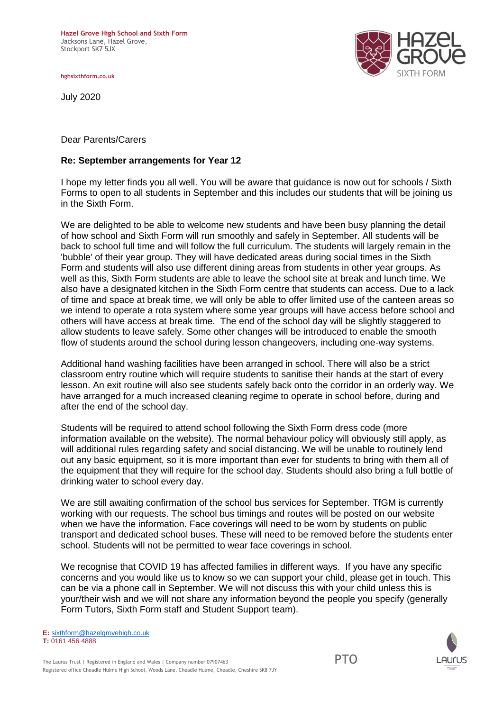**hghsixthform.co.uk**

July 2020



Dear Parents/Carers

## **Re: September arrangements for Year 12**

I hope my letter finds you all well. You will be aware that guidance is now out for schools / Sixth Forms to open to all students in September and this includes our students that will be joining us in the Sixth Form.

We are delighted to be able to welcome new students and have been busy planning the detail of how school and Sixth Form will run smoothly and safely in September. All students will be back to school full time and will follow the full curriculum. The students will largely remain in the 'bubble' of their year group. They will have dedicated areas during social times in the Sixth Form and students will also use different dining areas from students in other year groups. As well as this, Sixth Form students are able to leave the school site at break and lunch time. We also have a designated kitchen in the Sixth Form centre that students can access. Due to a lack of time and space at break time, we will only be able to offer limited use of the canteen areas so we intend to operate a rota system where some year groups will have access before school and others will have access at break time. The end of the school day will be slightly staggered to allow students to leave safely. Some other changes will be introduced to enable the smooth flow of students around the school during lesson changeovers, including one-way systems.

Additional hand washing facilities have been arranged in school. There will also be a strict classroom entry routine which will require students to sanitise their hands at the start of every lesson. An exit routine will also see students safely back onto the corridor in an orderly way. We have arranged for a much increased cleaning regime to operate in school before, during and after the end of the school day.

Students will be required to attend school following the Sixth Form dress code (more information available on the website). The normal behaviour policy will obviously still apply, as will additional rules regarding safety and social distancing. We will be unable to routinely lend out any basic equipment, so it is more important than ever for students to bring with them all of the equipment that they will require for the school day. Students should also bring a full bottle of drinking water to school every day.

We are still awaiting confirmation of the school bus services for September. TfGM is currently working with our requests. The school bus timings and routes will be posted on our website when we have the information. Face coverings will need to be worn by students on public transport and dedicated school buses. These will need to be removed before the students enter school. Students will not be permitted to wear face coverings in school.

We recognise that COVID 19 has affected families in different ways. If you have any specific concerns and you would like us to know so we can support your child, please get in touch. This can be via a phone call in September. We will not discuss this with your child unless this is your/their wish and we will not share any information beyond the people you specify (generally Form Tutors, Sixth Form staff and Student Support team).

**E:** [sixthform@hazelgrovehigh.co.uk](mailto:sixthform@hazelgrovehigh.co.uk) **T:** 0161 456 4888